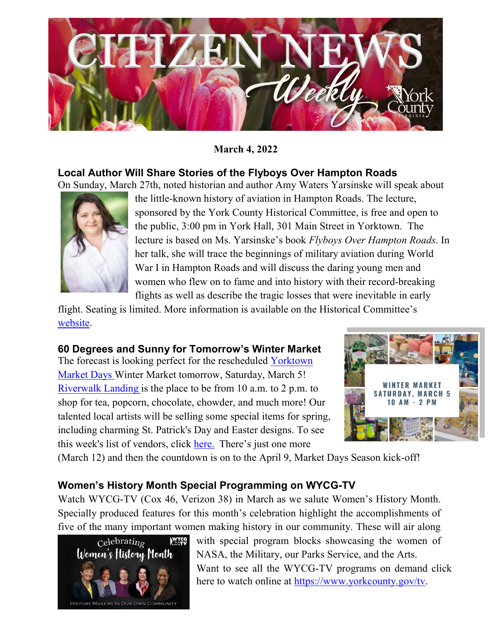

#### **March 4, 2022**

#### **Local Author Will Share Stories of the Flyboys Over Hampton Roads** On Sunday, March 27th, noted historian and author Amy Waters Yarsinske will speak about



the little-known history of aviation in Hampton Roads. The lecture, sponsored by the York County Historical Committee, is free and open to the public, 3:00 pm in York Hall, 301 Main Street in Yorktown. The lecture is based on Ms. Yarsinske's book *Flyboys Over Hampton Roads*. In her talk, she will trace the beginnings of military aviation during World War I in Hampton Roads and will discuss the daring young men and women who flew on to fame and into history with their record-breaking flights as well as describe the tragic losses that were inevitable in early

flight. Seating is limited. More information is available on the Historical Committee's [website.](https://www.yorkcounty.gov/1387/YCHC)

# **60 Degrees and Sunny for Tomorrow's Winter Market**

The forecast is looking perfect for the rescheduled [Yorktown](https://www.facebook.com/yorktownmarketdays/?__cft__%5b0%5d=AZWRWNHFG54x9cjBvNjQIK96mKfhhTevnUqbeSKIOoFr0_9pUyx3FDzw8OQ2AMI2-RW8cyg18xxhrMQa0ZudJ2p08lMvLAXo9_4tS84_T-S1SLjowjD5GhOBZc_XQihMxfNbitFuI_DKci9BSt3PdpHf&__tn__=kK-R)  [Market Days](https://www.facebook.com/yorktownmarketdays/?__cft__%5b0%5d=AZWRWNHFG54x9cjBvNjQIK96mKfhhTevnUqbeSKIOoFr0_9pUyx3FDzw8OQ2AMI2-RW8cyg18xxhrMQa0ZudJ2p08lMvLAXo9_4tS84_T-S1SLjowjD5GhOBZc_XQihMxfNbitFuI_DKci9BSt3PdpHf&__tn__=kK-R) Winter Market tomorrow, Saturday, March 5! [Riverwalk Landing](https://www.facebook.com/RiverwalkLanding/?__cft__%5b0%5d=AZWRWNHFG54x9cjBvNjQIK96mKfhhTevnUqbeSKIOoFr0_9pUyx3FDzw8OQ2AMI2-RW8cyg18xxhrMQa0ZudJ2p08lMvLAXo9_4tS84_T-S1SLjowjD5GhOBZc_XQihMxfNbitFuI_DKci9BSt3PdpHf&__tn__=kK-R) is the place to be from 10 a.m. to 2 p.m. to shop for tea, popcorn, chocolate, chowder, and much more! Our talented local artists will be selling some special items for spring, including charming St. Patrick's Day and Easter designs. To see this week's list of vendors, click [here.](https://www.visityorktown.org/418/This-Week-at-the-Market?fbclid=IwAR1Py6wrUtOf-q1Ko68K-MSv_usEwBkdyuUFy5Cm-tR1z_Zbz59m_s_rG4g) There's just one more



(March 12) and then the countdown is on to the April 9, Market Days Season kick-off!

# **Women's History Month Special Programming on WYCG-TV**

Watch WYCG-TV (Cox 46, Verizon 38) in March as we salute Women's History Month. Specially produced features for this month's celebration highlight the accomplishments of five of the many important women making history in our community. These will air along



with special program blocks showcasing the women of NASA, the Military, our Parks Service, and the Arts. Want to see all the WYCG-TV programs on demand click here to watch online at [https://www.yorkcounty.gov/tv.](https://www.yorkcounty.gov/tv)